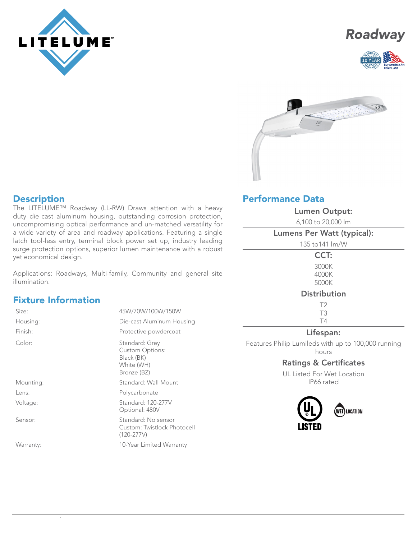







### **Description**

The LITELUME™ Roadway (LL-RW) Draws attention with a heavy duty die-cast aluminum housing, outstanding corrosion protection, uncompromising optical performance and un-matched versatility for a wide variety of area and roadway applications. Featuring a single latch tool-less entry, terminal block power set up, industry leading surge protection options, superior lumen maintenance with a robust yet economical design.

Applications: Roadways, Multi-family, Community and general site illumination.

## Fixture Information

| Size:     | 45W/70W/100W/150W                                                                   |  |  |
|-----------|-------------------------------------------------------------------------------------|--|--|
| Housing:  | Die-cast Aluminum Housing                                                           |  |  |
| Finish:   | Protective powdercoat                                                               |  |  |
| Color:    | Standard: Grey<br><b>Custom Options:</b><br>Black (BK)<br>White (WH)<br>Bronze (BZ) |  |  |
| Mounting: | Standard: Wall Mount                                                                |  |  |
| Lens:     | Polycarbonate                                                                       |  |  |
| Voltage:  | Standard: 120-277V<br>Optional: 480V                                                |  |  |
| Sensor:   | Standard: No sensor<br>Custom: Twistlock Photocell<br>$(120-277V)$                  |  |  |
| Warranty: | 10-Year Limited Warranty                                                            |  |  |

# Performance Data

| <b>Lumen Output:</b>              |  |  |
|-----------------------------------|--|--|
| 6,100 to 20,000 lm                |  |  |
| <b>Lumens Per Watt (typical):</b> |  |  |
| 135 to 141 Im/W                   |  |  |
| CCT:                              |  |  |
| 3000K                             |  |  |
| 4000K                             |  |  |
| 5000K                             |  |  |
| <b>Distribution</b>               |  |  |
| T <sub>2</sub>                    |  |  |
| T <sub>3</sub>                    |  |  |
| T4                                |  |  |
|                                   |  |  |

#### Lifespan:

Features Philip Lumileds with up to 100,000 running hours

### Ratings & Certificates

UL Listed For Wet Location IP66 rated